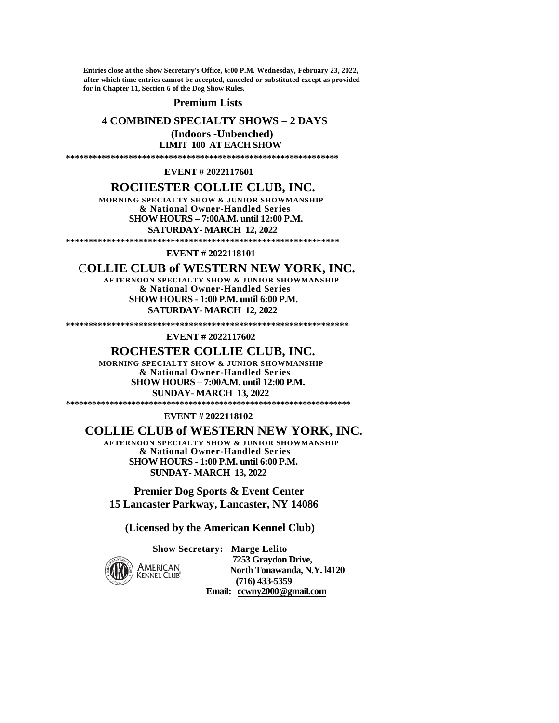**Entries close at the Show Secretary's Office, 6:00 P.M. Wednesday, February 23, 2022, after which time entries cannot be accepted, canceled or substituted except as provided for in Chapter 11, Section 6 of the Dog Show Rules.** 

## **Premium Lists**

# **4 COMBINED SPECIALTY SHOWS – 2 DAYS**

 **(Indoors -Unbenched) LIMIT 100 AT EACH SHOW**

**\*\*\*\*\*\*\*\*\*\*\*\*\*\*\*\*\*\*\*\*\*\*\*\*\*\*\*\*\*\*\*\*\*\*\*\*\*\*\*\*\*\*\*\*\*\*\*\*\*\*\*\*\*\*\*\*\*\*\*\*\***

## **EVENT # 2022117601**

# **ROCHESTER COLLIE CLUB, INC.**

 **MORNING SPECIALTY SHOW & JUNIOR SHOWMANSHIP & National Owner-Handled Series SHOW HOURS – 7:00A.M. until 12:00 P.M. SATURDAY- MARCH 12, 2022**

**\*\*\*\*\*\*\*\*\*\*\*\*\*\*\*\*\*\*\*\*\*\*\*\*\*\*\*\*\*\*\*\*\*\*\*\*\*\*\*\*\*\*\*\*\*\*\*\*\*\*\*\*\*\*\*\*\*\*\*\***

## **EVENT # 2022118101**

# C**OLLIE CLUB of WESTERN NEW YORK, INC.**

 **AFTERNOON SPECIALTY SHOW & JUNIOR SHOWMANSHIP & National Owner-Handled Series SHOW HOURS - 1:00 P.M. until 6:00 P.M. SATURDAY- MARCH 12, 2022** 

**\*\*\*\*\*\*\*\*\*\*\*\*\*\*\*\*\*\*\*\*\*\*\*\*\*\*\*\*\*\*\*\*\*\*\*\*\*\*\*\*\*\*\*\*\*\*\*\*\*\*\*\*\*\*\*\*\*\*\*\*\*\***

## **EVENT # 2022117602**

# **ROCHESTER COLLIE CLUB, INC.**

 **MORNING SPECIALTY SHOW & JUNIOR SHOWMANSHIP & National Owner-Handled Series SHOW HOURS – 7:00A.M. until 12:00 P.M. SUNDAY- MARCH 13, 2022 \*\*\*\*\*\*\*\*\*\*\*\*\*\*\*\*\*\*\*\*\*\*\*\*\*\*\*\*\*\*\*\*\*\*\*\*\*\*\*\*\*\*\*\*\*\*\*\*\*\*\*\*\*\*\*\*\*\*\*\*\*\*\*\*\*** 

### **EVENT # 2022118102**

# **COLLIE CLUB of WESTERN NEW YORK, INC.**

 **AFTERNOON SPECIALTY SHOW & JUNIOR SHOWMANSHIP & National Owner-Handled Series SHOW HOURS - 1:00 P.M. until 6:00 P.M. SUNDAY- MARCH 13, 2022**

 **Premier Dog Sports & Event Center 15 Lancaster Parkway, Lancaster, NY 14086**

 **(Licensed by the American Kennel Club)** 

**Show Secretary: Marge Lelito** 



**7253 Graydon Drive,<br>
AMERICAN Morth Tonawanda, N.**<br> **KENNEL CLUB CELO COLOGER North Tonawanda, N.Y. l4120 (716) 433-5359 Email: [ccwny2000@gmail.com](mailto:ccwny2000@gmail.com)**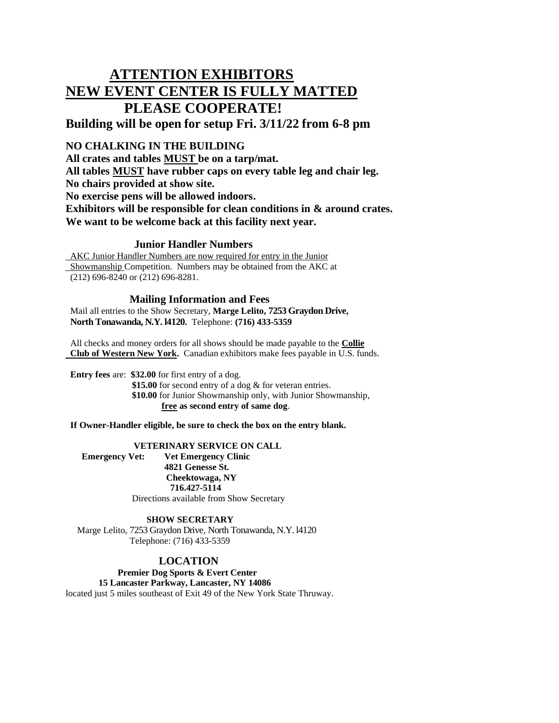# **ATTENTION EXHIBITORS NEW EVENT CENTER IS FULLY MATTED PLEASE COOPERATE!**

# **Building will be open for setup Fri. 3/11/22 from 6-8 pm**

# **NO CHALKING IN THE BUILDING**

**All crates and tables MUST be on a tarp/mat. All tables MUST have rubber caps on every table leg and chair leg. No chairs provided at show site. No exercise pens will be allowed indoors. Exhibitors will be responsible for clean conditions in & around crates. We want to be welcome back at this facility next year.** 

# **Junior Handler Numbers**

 AKC Junior Handler Numbers are now required for entry in the Junior Showmanship Competition. Numbers may be obtained from the AKC at (212) 696-8240 or (212) 696-8281.

# **Mailing Information and Fees**

 Mail all entries to the Show Secretary, **Marge Lelito, 7253 Graydon Drive, North Tonawanda, N.Y. l4120.** Telephone: **(716) 433-5359**

 All checks and money orders for all shows should be made payable to the **Collie Club of Western New York.** Canadian exhibitors make fees payable in U.S. funds.

 **Entry fees** are: **\$32.00** for first entry of a dog.

 **\$15.00** for second entry of a dog & for veteran entries. **\$10.00** for Junior Showmanship only, with Junior Showmanship,  **free as second entry of same dog**.

**If Owner-Handler eligible, be sure to check the box on the entry blank.**

# **VETERINARY SERVICE ON CALL**

 **Emergency Vet: Vet Emergency Clinic 4821 Genesse St. Cheektowaga, NY 716.427-5114** Directions available from Show Secretary

# **SHOW SECRETARY**

 Marge Lelito, 7253 Graydon Drive, North Tonawanda, N.Y. l4120 Telephone: (716) 433-5359

# **LOCATION**

 **Premier Dog Sports & Evert Center**

**15 Lancaster Parkway, Lancaster, NY 14086** located just 5 miles southeast of Exit 49 of the New York State Thruway.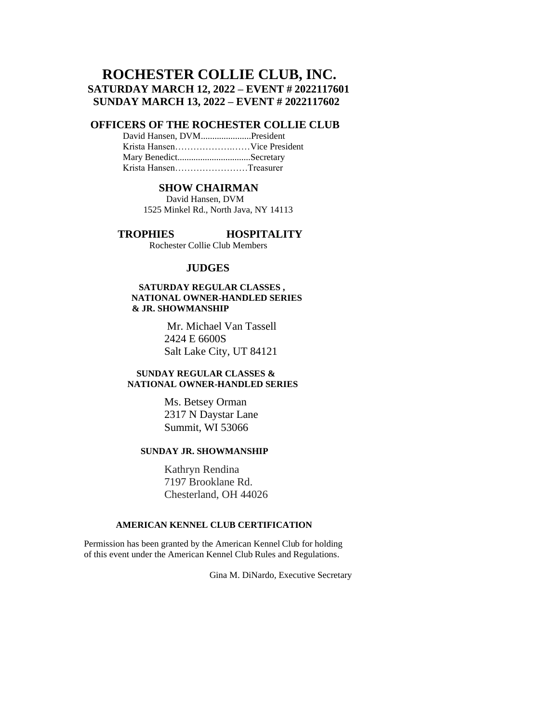# **ROCHESTER COLLIE CLUB, INC. SATURDAY MARCH 12, 2022 – EVENT # 2022117601 SUNDAY MARCH 13, 2022 – EVENT # 2022117602**

# **OFFICERS OF THE ROCHESTER COLLIE CLUB**

 David Hansen, DVM......................President Krista Hansen……………….……Vice President Mary Benedict................................Secretary Krista Hansen……………………Treasurer

## **SHOW CHAIRMAN**

 David Hansen, DVM 1525 Minkel Rd., North Java, NY 14113

 **TROPHIES HOSPITALITY**

Rochester Collie Club Members

# **JUDGES**

## **SATURDAY REGULAR CLASSES , NATIONAL OWNER-HANDLED SERIES & JR. SHOWMANSHIP**

 Mr. Michael Van Tassell 2424 E 6600S Salt Lake City, UT 84121

## **SUNDAY REGULAR CLASSES & NATIONAL OWNER-HANDLED SERIES**

 Ms. Betsey Orman 2317 N Daystar Lane Summit, WI 53066

# **SUNDAY JR. SHOWMANSHIP**

Kathryn Rendina 7197 Brooklane Rd. Chesterland, OH 44026

# **AMERICAN KENNEL CLUB CERTIFICATION**

 Permission has been granted by the American Kennel Club for holding of this event under the American Kennel Club Rules and Regulations.

Gina M. DiNardo, Executive Secretary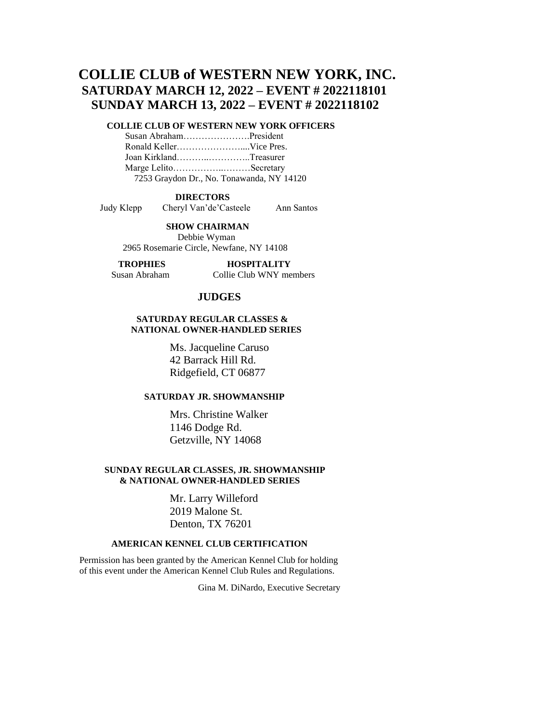# **COLLIE CLUB of WESTERN NEW YORK, INC. SATURDAY MARCH 12, 2022 – EVENT # 2022118101 SUNDAY MARCH 13, 2022 – EVENT # 2022118102**

# **COLLIE CLUB OF WESTERN NEW YORK OFFICERS**

 Susan Abraham………………….President Ronald Keller…………………....Vice Pres. Joan Kirkland………..…………..Treasurer Marge Lelito……………..………Secretary 7253 Graydon Dr., No. Tonawanda, NY 14120

### **DIRECTORS**

Judy Klepp Cheryl Van'de'Casteele Ann Santos

 **SHOW CHAIRMAN**

 Debbie Wyman 2965 Rosemarie Circle, Newfane, NY 14108

# **TROPHIES HOSPITALITY**

## Susan Abraham Collie Club WNY members

# **JUDGES**

## **SATURDAY REGULAR CLASSES & NATIONAL OWNER-HANDLED SERIES**

 Ms. Jacqueline Caruso 42 Barrack Hill Rd. Ridgefield, CT 06877

# **SATURDAY JR. SHOWMANSHIP**

 Mrs. Christine Walker 1146 Dodge Rd. Getzville, NY 14068

## **SUNDAY REGULAR CLASSES, JR. SHOWMANSHIP & NATIONAL OWNER-HANDLED SERIES**

 Mr. Larry Willeford 2019 Malone St. Denton, TX 76201

## **AMERICAN KENNEL CLUB CERTIFICATION**

 Permission has been granted by the American Kennel Club for holding of this event under the American Kennel Club Rules and Regulations.

Gina M. DiNardo, Executive Secretary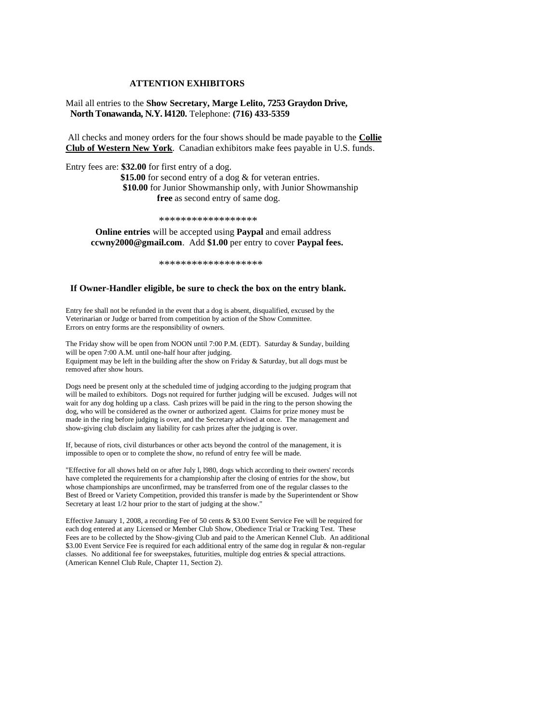### **ATTENTION EXHIBITORS**

Mail all entries to the **Show Secretary, Marge Lelito, 7253 Graydon Drive, North Tonawanda, N.Y. l4120.** Telephone: **(716) 433-5359**

All checks and money orders for the four shows should be made payable to the **Collie Club of Western New York**. Canadian exhibitors make fees payable in U.S. funds.

Entry fees are: **\$32.00** for first entry of a dog.

**\$15.00** for second entry of a dog & for veteran entries. **\$10.00** for Junior Showmanship only, with Junior Showmanship **free** as second entry of same dog.

\*\*\*\*\*\*\*\*\*\*\*\*\*\*\*\*\*\*\*\*\*\*\*\*\*\*\*\*\*\*\*\*

 **Online entries** will be accepted using **Paypal** and email address **ccwny2000@gmail.com**. Add **\$1.00** per entry to cover **Paypal fees.**

\*\*\*\*\*\*\*\*\*\*\*\*\*\*\*\*\*\*\*

### **If Owner-Handler eligible, be sure to check the box on the entry blank.**

Entry fee shall not be refunded in the event that a dog is absent, disqualified, excused by the Veterinarian or Judge or barred from competition by action of the Show Committee. Errors on entry forms are the responsibility of owners.

The Friday show will be open from NOON until 7:00 P.M. (EDT). Saturday & Sunday, building will be open 7:00 A.M. until one-half hour after judging. Equipment may be left in the building after the show on Friday & Saturday, but all dogs must be removed after show hours.

Dogs need be present only at the scheduled time of judging according to the judging program that will be mailed to exhibitors. Dogs not required for further judging will be excused. Judges will not wait for any dog holding up a class. Cash prizes will be paid in the ring to the person showing the dog, who will be considered as the owner or authorized agent. Claims for prize money must be made in the ring before judging is over, and the Secretary advised at once. The management and show-giving club disclaim any liability for cash prizes after the judging is over.

If, because of riots, civil disturbances or other acts beyond the control of the management, it is impossible to open or to complete the show, no refund of entry fee will be made.

"Effective for all shows held on or after July l, l980, dogs which according to their owners' records have completed the requirements for a championship after the closing of entries for the show, but whose championships are unconfirmed, may be transferred from one of the regular classes to the Best of Breed or Variety Competition, provided this transfer is made by the Superintendent or Show Secretary at least 1/2 hour prior to the start of judging at the show."

Effective January 1, 2008, a recording Fee of 50 cents & \$3.00 Event Service Fee will be required for each dog entered at any Licensed or Member Club Show, Obedience Trial or Tracking Test. These Fees are to be collected by the Show-giving Club and paid to the American Kennel Club. An additional \$3.00 Event Service Fee is required for each additional entry of the same dog in regular & non-regular classes. No additional fee for sweepstakes, futurities, multiple dog entries & special attractions. (American Kennel Club Rule, Chapter 11, Section 2).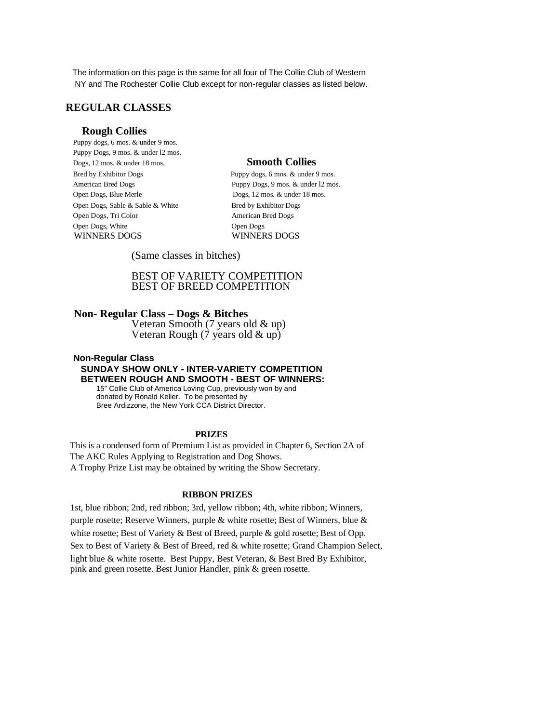The information on this page is the same for all four of The Collie Club of Western NY and The Rochester Collie Club except for non-regular classes as listed below.

# **REGULAR CLASSES**

## **Rough Collies**

 Puppy dogs, 6 mos. & under 9 mos. Puppy Dogs, 9 mos. & under l2 mos. Dogs, 12 mos. & under 18 mos. **Smooth Collies** Bred by Exhibitor Dogs Puppy dogs, 6 mos. & under 9 mos. Open Dogs, Blue Merle Dogs, 12 mos. & under 18 mos. Open Dogs, Sable & Sable & White Bred by Exhibitor Dogs Open Dogs, Tri Color American Bred Dogs Open Dogs, White Open Dogs WINNERS DOGS WINNERS DOGS

American Bred Dogs Puppy Dogs, 9 mos. & under 12 mos.

(Same classes in bitches)

# BEST OF VARIETY COMPETITION BEST OF BREED COMPETITION

# **Non- Regular Class – Dogs & Bitches**

 Veteran Smooth (7 years old & up) Veteran Rough (7 years old & up)

## **Non-Regular Class SUNDAY SHOW ONLY - INTER-VARIETY COMPETITION BETWEEN ROUGH AND SMOOTH - BEST OF WINNERS:**

 15" Collie Club of America Loving Cup, previously won by and donated by Ronald Keller. To be presented by Bree Ardizzone, the New York CCA District Director.

## **PRIZES**

 This is a condensed form of Premium List as provided in Chapter 6, Section 2A of The AKC Rules Applying to Registration and Dog Shows. A Trophy Prize List may be obtained by writing the Show Secretary.

## **RIBBON PRIZES**

 1st, blue ribbon; 2nd, red ribbon; 3rd, yellow ribbon; 4th, white ribbon; Winners, purple rosette; Reserve Winners, purple & white rosette; Best of Winners, blue & white rosette; Best of Variety & Best of Breed, purple & gold rosette; Best of Opp. Sex to Best of Variety & Best of Breed, red & white rosette; Grand Champion Select, light blue & white rosette. Best Puppy, Best Veteran, & Best Bred By Exhibitor, pink and green rosette. Best Junior Handler, pink & green rosette.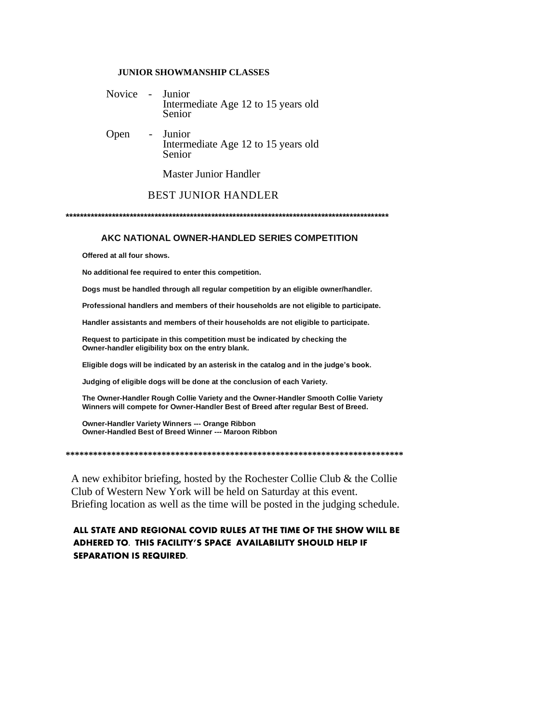## **JUNIOR SHOWMANSHIP CLASSES**

- Novice Junior Intermediate Age 12 to 15 years old Senior
- Open Junior Intermediate Age 12 to 15 years old Senior

Master Junior Handler

# BEST JUNIOR HANDLER

**\*\*\*\*\*\*\*\*\*\*\*\*\*\*\*\*\*\*\*\*\*\*\*\*\*\*\*\*\*\*\*\*\*\*\*\*\*\*\*\*\*\*\*\*\*\*\*\*\*\*\*\*\*\*\*\*\*\*\*\*\*\*\*\*\*\*\*\*\*\*\*\*\*\*\*\*\*\*\*\*\*\*\*\*\*\*\*\*\*\*\***

## **AKC NATIONAL OWNER-HANDLED SERIES COMPETITION**

 **Offered at all four shows.**

 **No additional fee required to enter this competition.**

 **Dogs must be handled through all regular competition by an eligible owner/handler.**

 **Professional handlers and members of their households are not eligible to participate.**

 **Handler assistants and members of their households are not eligible to participate.**

 **Request to participate in this competition must be indicated by checking the Owner-handler eligibility box on the entry blank.**

 **Eligible dogs will be indicated by an asterisk in the catalog and in the judge's book.**

 **Judging of eligible dogs will be done at the conclusion of each Variety.**

 **The Owner-Handler Rough Collie Variety and the Owner-Handler Smooth Collie Variety Winners will compete for Owner-Handler Best of Breed after regular Best of Breed.** 

 **Owner-Handler Variety Winners --- Orange Ribbon Owner-Handled Best of Breed Winner --- Maroon Ribbon** 

**\*\*\*\*\*\*\*\*\*\*\*\*\*\*\*\*\*\*\*\*\*\*\*\*\*\*\*\*\*\*\*\*\*\*\*\*\*\*\*\*\*\*\*\*\*\*\*\*\*\*\*\*\*\*\*\*\*\*\*\*\*\*\*\*\*\*\*\*\*\*\*\*\*\***

 A new exhibitor briefing, hosted by the Rochester Collie Club & the Collie Club of Western New York will be held on Saturday at this event. Briefing location as well as the time will be posted in the judging schedule.

# **ALL STATE AND REGIONAL COVID RULES AT THE TIME OF THE SHOW WILL BE ADHERED TO. THIS FACILITY'S SPACE AVAILABILITY SHOULD HELP IF SEPARATION IS REQUIRED.**